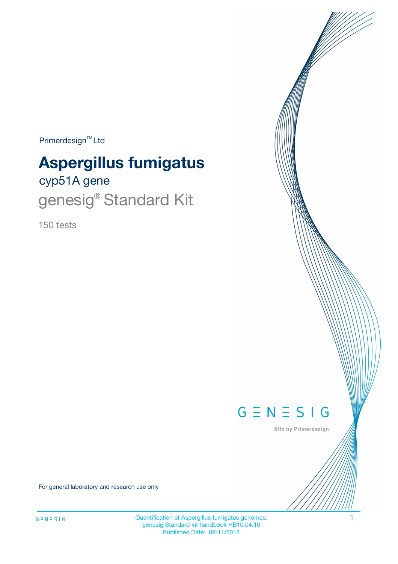$Primerdesign^{\text{TM}}Ltd$ 

# **Aspergillus fumigatus**

# cyp51A gene genesig® Standard Kit

150 tests



Kits by Primerdesign

For general laboratory and research use only

Quantification of Aspergillus fumigatus genomes. 1 genesig Standard kit handbook HB10.04.10 Published Date: 09/11/2018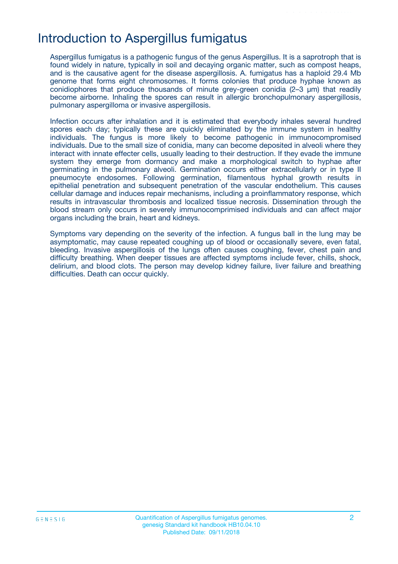## Introduction to Aspergillus fumigatus

Aspergillus fumigatus is a pathogenic fungus of the genus Aspergillus. It is a saprotroph that is found widely in nature, typically in soil and decaying organic matter, such as compost heaps, and is the causative agent for the disease aspergillosis. A. fumigatus has a haploid 29.4 Mb genome that forms eight chromosomes. It forms colonies that produce hyphae known as conidiophores that produce thousands of minute grey-green conidia (2–3 μm) that readily become airborne. Inhaling the spores can result in allergic bronchopulmonary aspergillosis, pulmonary aspergilloma or invasive aspergillosis.

Infection occurs after inhalation and it is estimated that everybody inhales several hundred spores each day; typically these are quickly eliminated by the immune system in healthy individuals. The fungus is more likely to become pathogenic in immunocompromised individuals. Due to the small size of conidia, many can become deposited in alveoli where they interact with innate effecter cells, usually leading to their destruction. If they evade the immune system they emerge from dormancy and make a morphological switch to hyphae after germinating in the pulmonary alveoli. Germination occurs either extracellularly or in type II pneumocyte endosomes. Following germination, filamentous hyphal growth results in epithelial penetration and subsequent penetration of the vascular endothelium. This causes cellular damage and induces repair mechanisms, including a proinflammatory response, which results in intravascular thrombosis and localized tissue necrosis. Dissemination through the blood stream only occurs in severely immunocomprimised individuals and can affect major organs including the brain, heart and kidneys.

Symptoms vary depending on the severity of the infection. A fungus ball in the lung may be asymptomatic, may cause repeated coughing up of blood or occasionally severe, even fatal, bleeding. Invasive aspergillosis of the lungs often causes coughing, fever, chest pain and difficulty breathing. When deeper tissues are affected symptoms include fever, chills, shock, delirium, and blood clots. The person may develop kidney failure, liver failure and breathing difficulties. Death can occur quickly.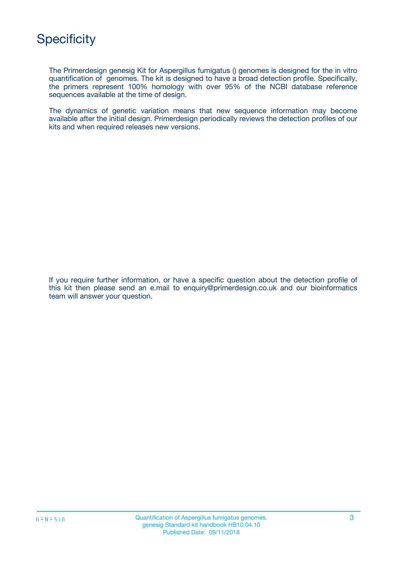

The Primerdesign genesig Kit for Aspergillus fumigatus () genomes is designed for the in vitro quantification of genomes. The kit is designed to have a broad detection profile. Specifically, the primers represent 100% homology with over 95% of the NCBI database reference sequences available at the time of design.

The dynamics of genetic variation means that new sequence information may become available after the initial design. Primerdesign periodically reviews the detection profiles of our kits and when required releases new versions.

If you require further information, or have a specific question about the detection profile of this kit then please send an e.mail to enquiry@primerdesign.co.uk and our bioinformatics team will answer your question.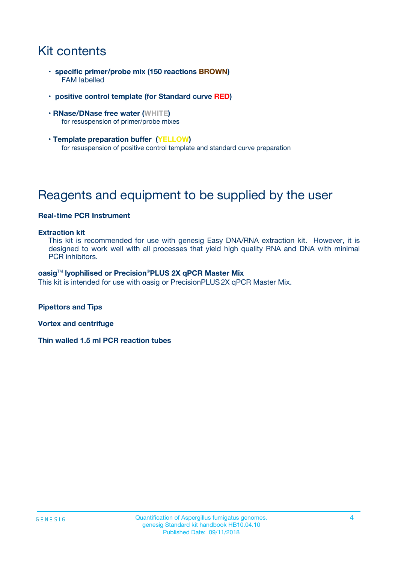# Kit contents

- **specific primer/probe mix (150 reactions BROWN)** FAM labelled
- **positive control template (for Standard curve RED)**
- **RNase/DNase free water (WHITE)** for resuspension of primer/probe mixes
- **Template preparation buffer (YELLOW)** for resuspension of positive control template and standard curve preparation

# Reagents and equipment to be supplied by the user

#### **Real-time PCR Instrument**

#### **Extraction kit**

This kit is recommended for use with genesig Easy DNA/RNA extraction kit. However, it is designed to work well with all processes that yield high quality RNA and DNA with minimal PCR inhibitors.

#### **oasig**TM **lyophilised or Precision**®**PLUS 2X qPCR Master Mix**

This kit is intended for use with oasig or PrecisionPLUS2X qPCR Master Mix.

**Pipettors and Tips**

**Vortex and centrifuge**

**Thin walled 1.5 ml PCR reaction tubes**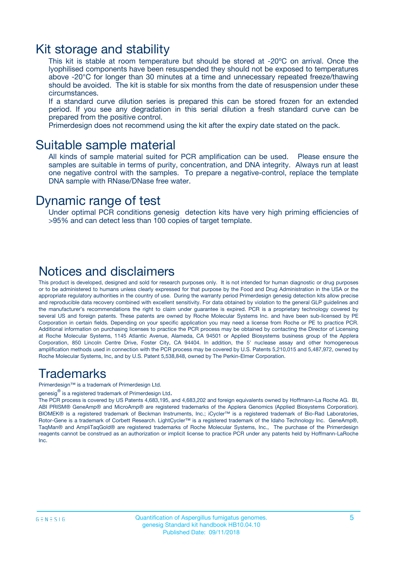### Kit storage and stability

This kit is stable at room temperature but should be stored at -20ºC on arrival. Once the lyophilised components have been resuspended they should not be exposed to temperatures above -20°C for longer than 30 minutes at a time and unnecessary repeated freeze/thawing should be avoided. The kit is stable for six months from the date of resuspension under these circumstances.

If a standard curve dilution series is prepared this can be stored frozen for an extended period. If you see any degradation in this serial dilution a fresh standard curve can be prepared from the positive control.

Primerdesign does not recommend using the kit after the expiry date stated on the pack.

### Suitable sample material

All kinds of sample material suited for PCR amplification can be used. Please ensure the samples are suitable in terms of purity, concentration, and DNA integrity. Always run at least one negative control with the samples. To prepare a negative-control, replace the template DNA sample with RNase/DNase free water.

### Dynamic range of test

Under optimal PCR conditions genesig detection kits have very high priming efficiencies of >95% and can detect less than 100 copies of target template.

### Notices and disclaimers

This product is developed, designed and sold for research purposes only. It is not intended for human diagnostic or drug purposes or to be administered to humans unless clearly expressed for that purpose by the Food and Drug Administration in the USA or the appropriate regulatory authorities in the country of use. During the warranty period Primerdesign genesig detection kits allow precise and reproducible data recovery combined with excellent sensitivity. For data obtained by violation to the general GLP guidelines and the manufacturer's recommendations the right to claim under guarantee is expired. PCR is a proprietary technology covered by several US and foreign patents. These patents are owned by Roche Molecular Systems Inc. and have been sub-licensed by PE Corporation in certain fields. Depending on your specific application you may need a license from Roche or PE to practice PCR. Additional information on purchasing licenses to practice the PCR process may be obtained by contacting the Director of Licensing at Roche Molecular Systems, 1145 Atlantic Avenue, Alameda, CA 94501 or Applied Biosystems business group of the Applera Corporation, 850 Lincoln Centre Drive, Foster City, CA 94404. In addition, the 5' nuclease assay and other homogeneous amplification methods used in connection with the PCR process may be covered by U.S. Patents 5,210,015 and 5,487,972, owned by Roche Molecular Systems, Inc, and by U.S. Patent 5,538,848, owned by The Perkin-Elmer Corporation.

### Trademarks

Primerdesign™ is a trademark of Primerdesign Ltd.

genesig $^\circledR$  is a registered trademark of Primerdesign Ltd.

The PCR process is covered by US Patents 4,683,195, and 4,683,202 and foreign equivalents owned by Hoffmann-La Roche AG. BI, ABI PRISM® GeneAmp® and MicroAmp® are registered trademarks of the Applera Genomics (Applied Biosystems Corporation). BIOMEK® is a registered trademark of Beckman Instruments, Inc.; iCycler™ is a registered trademark of Bio-Rad Laboratories, Rotor-Gene is a trademark of Corbett Research. LightCycler™ is a registered trademark of the Idaho Technology Inc. GeneAmp®, TaqMan® and AmpliTaqGold® are registered trademarks of Roche Molecular Systems, Inc., The purchase of the Primerdesign reagents cannot be construed as an authorization or implicit license to practice PCR under any patents held by Hoffmann-LaRoche Inc.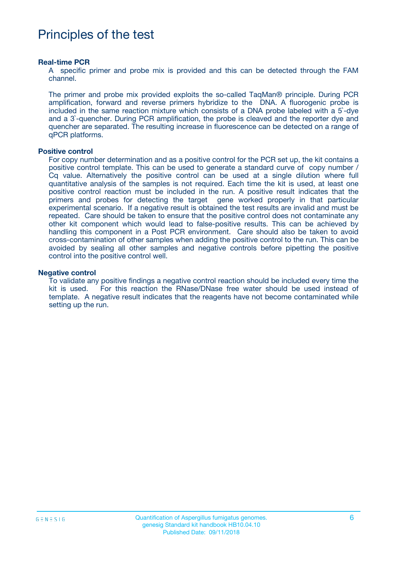## Principles of the test

#### **Real-time PCR**

A specific primer and probe mix is provided and this can be detected through the FAM channel.

The primer and probe mix provided exploits the so-called TaqMan® principle. During PCR amplification, forward and reverse primers hybridize to the DNA. A fluorogenic probe is included in the same reaction mixture which consists of a DNA probe labeled with a 5`-dye and a 3`-quencher. During PCR amplification, the probe is cleaved and the reporter dye and quencher are separated. The resulting increase in fluorescence can be detected on a range of qPCR platforms.

#### **Positive control**

For copy number determination and as a positive control for the PCR set up, the kit contains a positive control template. This can be used to generate a standard curve of copy number / Cq value. Alternatively the positive control can be used at a single dilution where full quantitative analysis of the samples is not required. Each time the kit is used, at least one positive control reaction must be included in the run. A positive result indicates that the primers and probes for detecting the target gene worked properly in that particular experimental scenario. If a negative result is obtained the test results are invalid and must be repeated. Care should be taken to ensure that the positive control does not contaminate any other kit component which would lead to false-positive results. This can be achieved by handling this component in a Post PCR environment. Care should also be taken to avoid cross-contamination of other samples when adding the positive control to the run. This can be avoided by sealing all other samples and negative controls before pipetting the positive control into the positive control well.

#### **Negative control**

To validate any positive findings a negative control reaction should be included every time the kit is used. For this reaction the RNase/DNase free water should be used instead of template. A negative result indicates that the reagents have not become contaminated while setting up the run.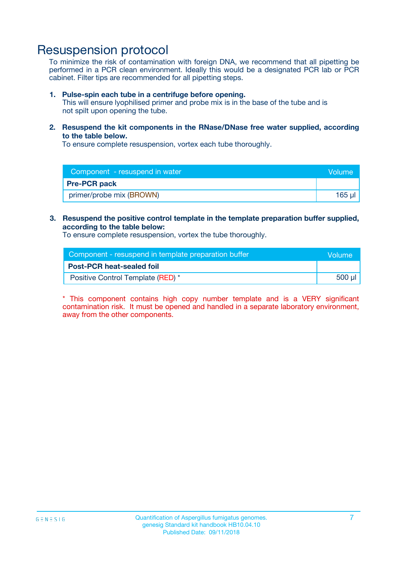## Resuspension protocol

To minimize the risk of contamination with foreign DNA, we recommend that all pipetting be performed in a PCR clean environment. Ideally this would be a designated PCR lab or PCR cabinet. Filter tips are recommended for all pipetting steps.

#### **1. Pulse-spin each tube in a centrifuge before opening.**

This will ensure lyophilised primer and probe mix is in the base of the tube and is not spilt upon opening the tube.

**2. Resuspend the kit components in the RNase/DNase free water supplied, according to the table below.**

To ensure complete resuspension, vortex each tube thoroughly.

| Component - resuspend in water | Volume |
|--------------------------------|--------|
| <b>Pre-PCR pack</b>            |        |
| primer/probe mix (BROWN)       | 165 ul |

### **3. Resuspend the positive control template in the template preparation buffer supplied, according to the table below:**

To ensure complete resuspension, vortex the tube thoroughly.

| Component - resuspend in template preparation buffer |        |  |
|------------------------------------------------------|--------|--|
| <b>Post-PCR heat-sealed foil</b>                     |        |  |
| Positive Control Template (RED) *                    | 500 µl |  |

\* This component contains high copy number template and is a VERY significant contamination risk. It must be opened and handled in a separate laboratory environment, away from the other components.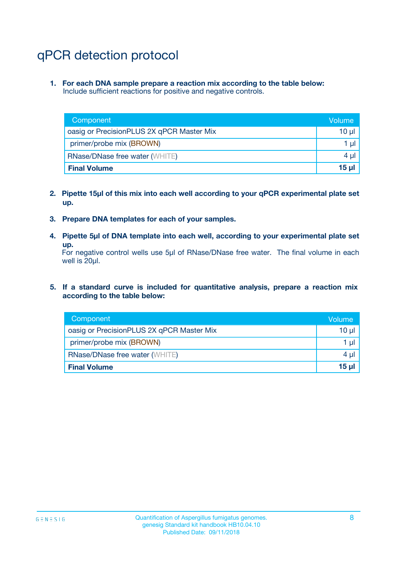# qPCR detection protocol

**1. For each DNA sample prepare a reaction mix according to the table below:** Include sufficient reactions for positive and negative controls.

| Component                                 | Volume           |
|-------------------------------------------|------------------|
| oasig or PrecisionPLUS 2X qPCR Master Mix | 10 $\mu$         |
| primer/probe mix (BROWN)                  | 1 $\mu$          |
| <b>RNase/DNase free water (WHITE)</b>     | $4 \mu$          |
| <b>Final Volume</b>                       | 15 <sub>ul</sub> |

- **2. Pipette 15µl of this mix into each well according to your qPCR experimental plate set up.**
- **3. Prepare DNA templates for each of your samples.**
- **4. Pipette 5µl of DNA template into each well, according to your experimental plate set up.**

For negative control wells use 5µl of RNase/DNase free water. The final volume in each well is 20µl.

**5. If a standard curve is included for quantitative analysis, prepare a reaction mix according to the table below:**

| Component                                 | Volume          |
|-------------------------------------------|-----------------|
| oasig or PrecisionPLUS 2X qPCR Master Mix | 10 µl           |
| primer/probe mix (BROWN)                  | 1 µI            |
| <b>RNase/DNase free water (WHITE)</b>     | $4 \mu$         |
| <b>Final Volume</b>                       | 15 <sub>µ</sub> |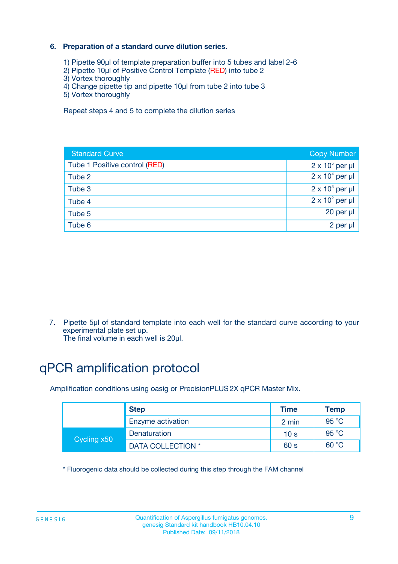### **6. Preparation of a standard curve dilution series.**

- 1) Pipette 90µl of template preparation buffer into 5 tubes and label 2-6
- 2) Pipette 10µl of Positive Control Template (RED) into tube 2
- 3) Vortex thoroughly
- 4) Change pipette tip and pipette 10µl from tube 2 into tube 3
- 5) Vortex thoroughly

Repeat steps 4 and 5 to complete the dilution series

| <b>Standard Curve</b>         | <b>Copy Number</b>     |
|-------------------------------|------------------------|
| Tube 1 Positive control (RED) | $2 \times 10^5$ per µl |
| Tube 2                        | $2 \times 10^4$ per µl |
| Tube 3                        | $2 \times 10^3$ per µl |
| Tube 4                        | $2 \times 10^2$ per µl |
| Tube 5                        | 20 per µl              |
| Tube 6                        | 2 per ul               |

7. Pipette 5µl of standard template into each well for the standard curve according to your experimental plate set up.

The final volume in each well is 20µl.

# qPCR amplification protocol

Amplification conditions using oasig or PrecisionPLUS2X qPCR Master Mix.

|             | <b>Step</b>       | <b>Time</b>     | Temp    |
|-------------|-------------------|-----------------|---------|
|             | Enzyme activation | 2 min           | 95 °C   |
| Cycling x50 | Denaturation      | 10 <sub>s</sub> | 95 $°C$ |
|             | DATA COLLECTION * | 60 s            | 60 °C   |

\* Fluorogenic data should be collected during this step through the FAM channel